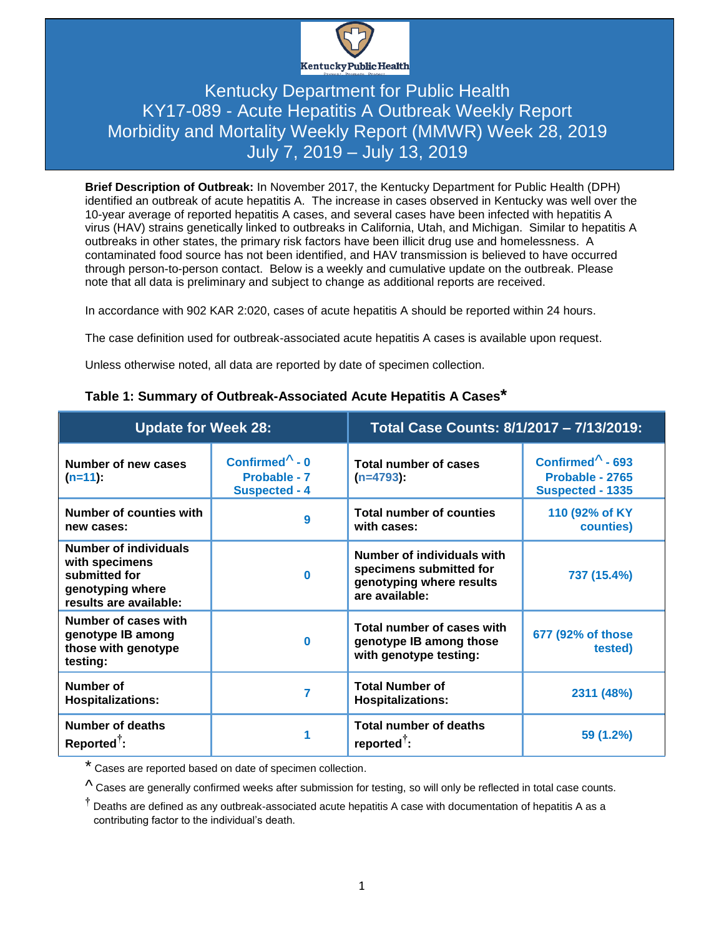

### Kentucky Department for Public Health KY17-089 - Acute Hepatitis A Outbreak Weekly Report Morbidity and Mortality Weekly Report (MMWR) Week 28, 2019 July 7, 2019 – July 13, 2019

**Brief Description of Outbreak:** In November 2017, the Kentucky Department for Public Health (DPH) identified an outbreak of acute hepatitis A. The increase in cases observed in Kentucky was well over the 10-year average of reported hepatitis A cases, and several cases have been infected with hepatitis A virus (HAV) strains genetically linked to outbreaks in California, Utah, and Michigan. Similar to hepatitis A outbreaks in other states, the primary risk factors have been illicit drug use and homelessness. A contaminated food source has not been identified, and HAV transmission is believed to have occurred through person-to-person contact. Below is a weekly and cumulative update on the outbreak. Please note that all data is preliminary and subject to change as additional reports are received.

In accordance with 902 KAR 2:020, cases of acute hepatitis A should be reported within 24 hours.

The case definition used for outbreak-associated acute hepatitis A cases is available upon request.

Unless otherwise noted, all data are reported by date of specimen collection.

| <b>Update for Week 28:</b>                                                                             |                                                                | Total Case Counts: 8/1/2017 - 7/13/2019:                                                            |                                                                         |  |
|--------------------------------------------------------------------------------------------------------|----------------------------------------------------------------|-----------------------------------------------------------------------------------------------------|-------------------------------------------------------------------------|--|
| Number of new cases<br>$(n=11)$ :                                                                      | Confirmed $\wedge$ - 0<br>Probable - 7<br><b>Suspected - 4</b> | Total number of cases<br>$(n=4793)$ :                                                               | Confirmed $\Lambda$ - 693<br>Probable - 2765<br><b>Suspected - 1335</b> |  |
| Number of counties with<br>new cases:                                                                  | 9                                                              | <b>Total number of counties</b><br>with cases:                                                      | 110 (92% of KY)<br>counties)                                            |  |
| Number of individuals<br>with specimens<br>submitted for<br>genotyping where<br>results are available: | $\bf{0}$                                                       | Number of individuals with<br>specimens submitted for<br>genotyping where results<br>are available: | 737 (15.4%)                                                             |  |
| Number of cases with<br>genotype IB among<br>those with genotype<br>testing:                           | $\bf{0}$                                                       | Total number of cases with<br>genotype IB among those<br>with genotype testing:                     | 677 (92% of those<br>tested)                                            |  |
| Number of<br><b>Hospitalizations:</b>                                                                  | 7                                                              | <b>Total Number of</b><br><b>Hospitalizations:</b>                                                  | 2311 (48%)                                                              |  |
| <b>Number of deaths</b><br>$Reported$ :                                                                | 1                                                              | <b>Total number of deaths</b><br>reported <sup><math>\bar{ }</math></sup> :                         | $59(1.2\%)$                                                             |  |

#### **Table 1: Summary of Outbreak-Associated Acute Hepatitis A Cases\***

\* Cases are reported based on date of specimen collection.

 $\Lambda$  Cases are generally confirmed weeks after submission for testing, so will only be reflected in total case counts.

**†** Deaths are defined as any outbreak-associated acute hepatitis A case with documentation of hepatitis A as a contributing factor to the individual's death.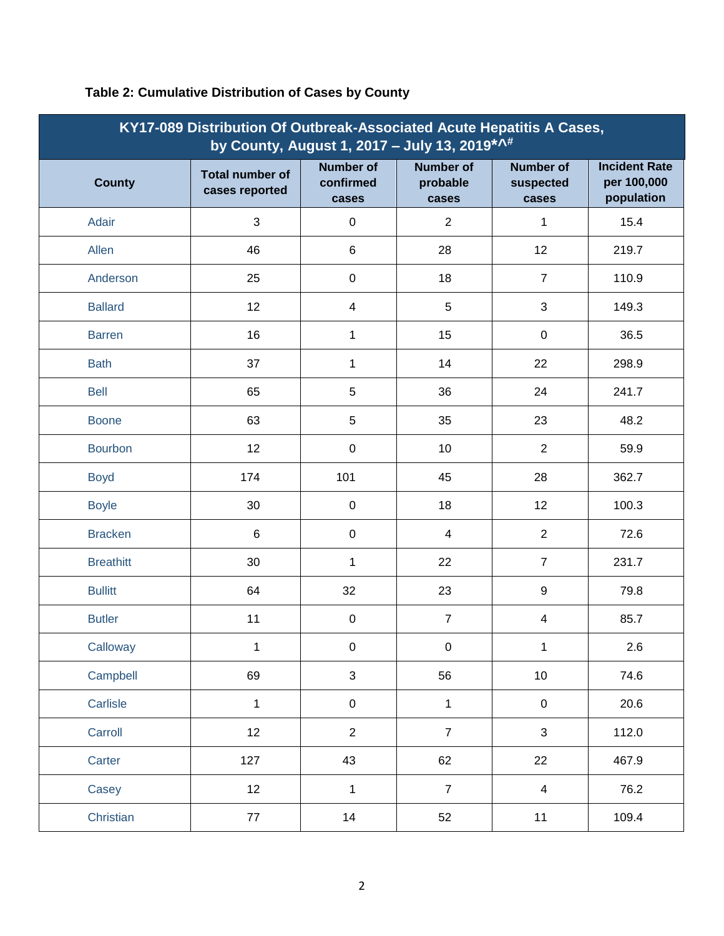| KY17-089 Distribution Of Outbreak-Associated Acute Hepatitis A Cases,<br>by County, August 1, 2017 - July 13, 2019 *. ^* |                                          |                                        |                                       |                                        |                                                   |
|--------------------------------------------------------------------------------------------------------------------------|------------------------------------------|----------------------------------------|---------------------------------------|----------------------------------------|---------------------------------------------------|
| <b>County</b>                                                                                                            | <b>Total number of</b><br>cases reported | <b>Number of</b><br>confirmed<br>cases | <b>Number of</b><br>probable<br>cases | <b>Number of</b><br>suspected<br>cases | <b>Incident Rate</b><br>per 100,000<br>population |
| Adair                                                                                                                    | 3                                        | $\pmb{0}$                              | $\overline{2}$                        | 1                                      | 15.4                                              |
| Allen                                                                                                                    | 46                                       | 6                                      | 28                                    | 12                                     | 219.7                                             |
| Anderson                                                                                                                 | 25                                       | $\pmb{0}$                              | 18                                    | $\overline{7}$                         | 110.9                                             |
| <b>Ballard</b>                                                                                                           | 12                                       | $\overline{\mathcal{A}}$               | $\sqrt{5}$                            | $\mathbf{3}$                           | 149.3                                             |
| <b>Barren</b>                                                                                                            | 16                                       | 1                                      | 15                                    | $\boldsymbol{0}$                       | 36.5                                              |
| <b>Bath</b>                                                                                                              | 37                                       | 1                                      | 14                                    | 22                                     | 298.9                                             |
| <b>Bell</b>                                                                                                              | 65                                       | $\sqrt{5}$                             | 36                                    | 24                                     | 241.7                                             |
| <b>Boone</b>                                                                                                             | 63                                       | 5                                      | 35                                    | 23                                     | 48.2                                              |
| <b>Bourbon</b>                                                                                                           | 12                                       | $\pmb{0}$                              | 10                                    | $\overline{2}$                         | 59.9                                              |
| <b>Boyd</b>                                                                                                              | 174                                      | 101                                    | 45                                    | 28                                     | 362.7                                             |
| <b>Boyle</b>                                                                                                             | 30                                       | $\pmb{0}$                              | 18                                    | 12                                     | 100.3                                             |
| <b>Bracken</b>                                                                                                           | $\,6$                                    | $\pmb{0}$                              | $\overline{\mathbf{4}}$               | $\overline{2}$                         | 72.6                                              |
| <b>Breathitt</b>                                                                                                         | 30                                       | $\mathbf 1$                            | 22                                    | $\overline{7}$                         | 231.7                                             |
| <b>Bullitt</b>                                                                                                           | 64                                       | 32                                     | 23                                    | $\boldsymbol{9}$                       | 79.8                                              |
| <b>Butler</b>                                                                                                            | 11                                       | $\pmb{0}$                              | $\overline{7}$                        | 4                                      | 85.7                                              |
| Calloway                                                                                                                 | 1                                        | $\pmb{0}$                              | $\boldsymbol{0}$                      | 1                                      | 2.6                                               |
| Campbell                                                                                                                 | 69                                       | $\mathbf{3}$                           | 56                                    | 10                                     | 74.6                                              |
| Carlisle                                                                                                                 | $\mathbf{1}$                             | $\pmb{0}$                              | $\mathbf{1}$                          | $\pmb{0}$                              | 20.6                                              |
| Carroll                                                                                                                  | 12                                       | $\overline{2}$                         | $\overline{7}$                        | $\sqrt{3}$                             | 112.0                                             |
| Carter                                                                                                                   | 127                                      | 43                                     | 62                                    | 22                                     | 467.9                                             |
| Casey                                                                                                                    | 12                                       | $\mathbf 1$                            | $\overline{7}$                        | $\overline{\mathbf{4}}$                | 76.2                                              |
| Christian                                                                                                                | 77                                       | 14                                     | 52                                    | 11                                     | 109.4                                             |

#### **Table 2: Cumulative Distribution of Cases by County**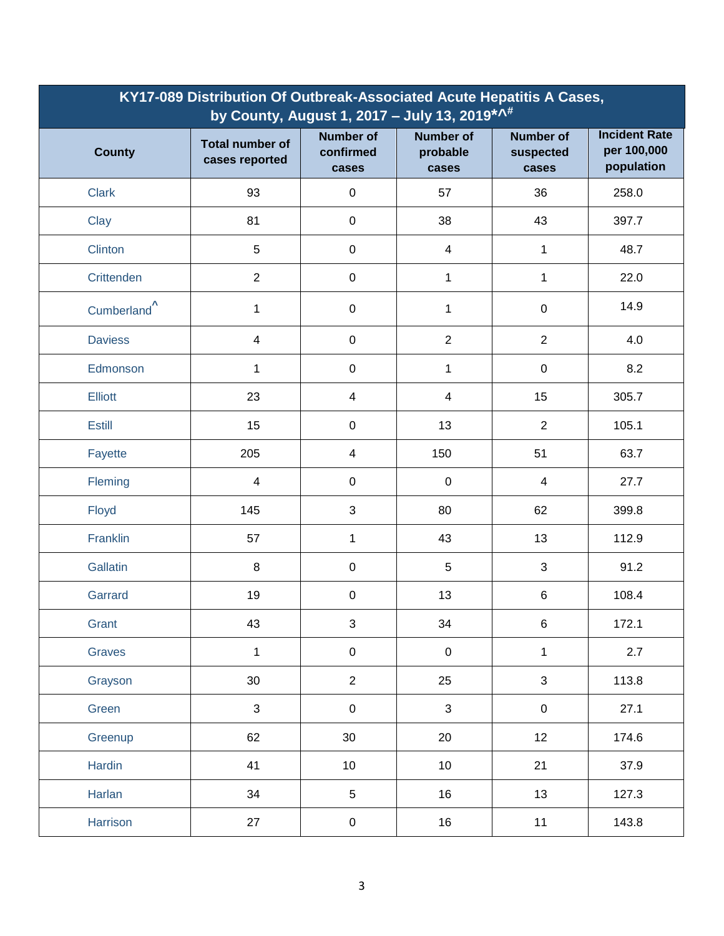| KY17-089 Distribution Of Outbreak-Associated Acute Hepatitis A Cases,<br>by County, August 1, 2017 - July 13, 2019 <sup>* ^#</sup> |                                          |                                        |                                       |                                        |                                                   |
|------------------------------------------------------------------------------------------------------------------------------------|------------------------------------------|----------------------------------------|---------------------------------------|----------------------------------------|---------------------------------------------------|
| <b>County</b>                                                                                                                      | <b>Total number of</b><br>cases reported | <b>Number of</b><br>confirmed<br>cases | <b>Number of</b><br>probable<br>cases | <b>Number of</b><br>suspected<br>cases | <b>Incident Rate</b><br>per 100,000<br>population |
| <b>Clark</b>                                                                                                                       | 93                                       | $\pmb{0}$                              | 57                                    | 36                                     | 258.0                                             |
| Clay                                                                                                                               | 81                                       | $\pmb{0}$                              | 38                                    | 43                                     | 397.7                                             |
| <b>Clinton</b>                                                                                                                     | 5                                        | $\pmb{0}$                              | 4                                     | 1                                      | 48.7                                              |
| Crittenden                                                                                                                         | $\overline{2}$                           | $\pmb{0}$                              | 1                                     | 1                                      | 22.0                                              |
| Cumberland <sup>^</sup>                                                                                                            | $\mathbf 1$                              | $\pmb{0}$                              | $\mathbf{1}$                          | $\pmb{0}$                              | 14.9                                              |
| <b>Daviess</b>                                                                                                                     | $\overline{\mathbf{4}}$                  | $\mathbf 0$                            | $\overline{2}$                        | $\overline{2}$                         | 4.0                                               |
| Edmonson                                                                                                                           | 1                                        | $\mathbf 0$                            | 1                                     | $\mathsf 0$                            | 8.2                                               |
| <b>Elliott</b>                                                                                                                     | 23                                       | $\overline{4}$                         | 4                                     | 15                                     | 305.7                                             |
| <b>Estill</b>                                                                                                                      | 15                                       | $\pmb{0}$                              | 13                                    | $\overline{2}$                         | 105.1                                             |
| Fayette                                                                                                                            | 205                                      | 4                                      | 150                                   | 51                                     | 63.7                                              |
| Fleming                                                                                                                            | $\overline{\mathbf{4}}$                  | $\mathbf 0$                            | 0                                     | 4                                      | 27.7                                              |
| Floyd                                                                                                                              | 145                                      | 3                                      | 80                                    | 62                                     | 399.8                                             |
| Franklin                                                                                                                           | 57                                       | 1                                      | 43                                    | 13                                     | 112.9                                             |
| Gallatin                                                                                                                           | 8                                        | $\pmb{0}$                              | 5                                     | 3                                      | 91.2                                              |
| Garrard                                                                                                                            | 19                                       | $\pmb{0}$                              | 13                                    | 6                                      | 108.4                                             |
| Grant                                                                                                                              | 43                                       | $\mathfrak{S}$                         | 34                                    | $\,6\,$                                | 172.1                                             |
| Graves                                                                                                                             | $\mathbf{1}$                             | $\mathbf 0$                            | $\mathsf 0$                           | $\mathbf{1}$                           | 2.7                                               |
| Grayson                                                                                                                            | 30                                       | $\overline{2}$                         | 25                                    | 3                                      | 113.8                                             |
| Green                                                                                                                              | $\mathbf{3}$                             | $\boldsymbol{0}$                       | $\mathbf{3}$                          | $\mathbf 0$                            | 27.1                                              |
| Greenup                                                                                                                            | 62                                       | $30\,$                                 | 20                                    | 12                                     | 174.6                                             |
| Hardin                                                                                                                             | 41                                       | 10                                     | 10 <sub>1</sub>                       | 21                                     | 37.9                                              |
| Harlan                                                                                                                             | 34                                       | $5\,$                                  | 16                                    | 13                                     | 127.3                                             |
| Harrison                                                                                                                           | 27                                       | $\pmb{0}$                              | 16                                    | 11                                     | 143.8                                             |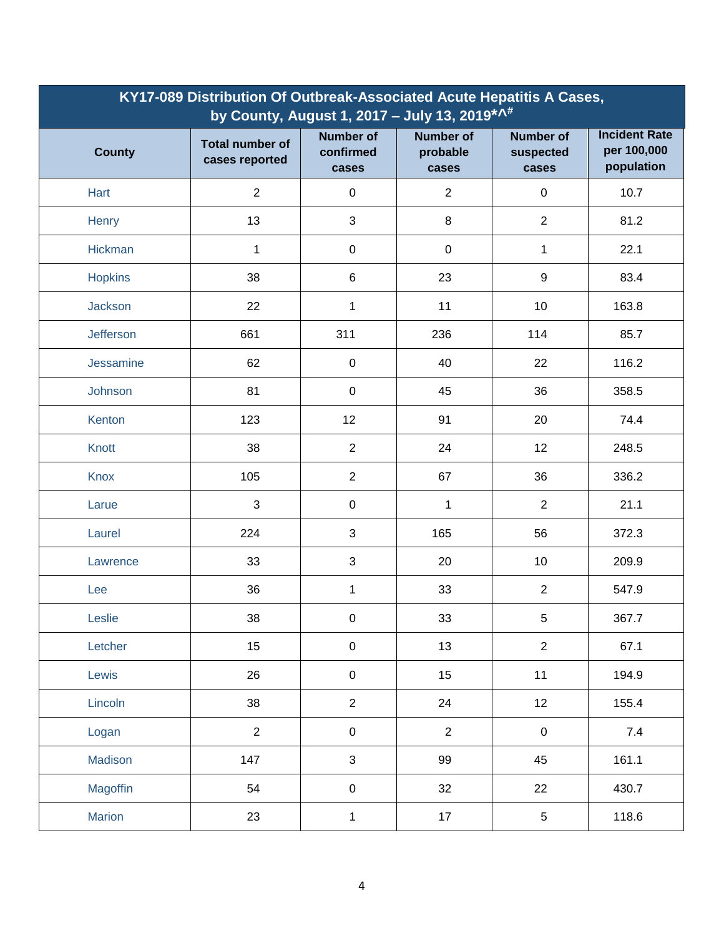| KY17-089 Distribution Of Outbreak-Associated Acute Hepatitis A Cases,<br>by County, August 1, 2017 - July 13, 2019 *** |                                          |                                        |                                       |                                        |                                                   |
|------------------------------------------------------------------------------------------------------------------------|------------------------------------------|----------------------------------------|---------------------------------------|----------------------------------------|---------------------------------------------------|
| <b>County</b>                                                                                                          | <b>Total number of</b><br>cases reported | <b>Number of</b><br>confirmed<br>cases | <b>Number of</b><br>probable<br>cases | <b>Number of</b><br>suspected<br>cases | <b>Incident Rate</b><br>per 100,000<br>population |
| Hart                                                                                                                   | $\overline{2}$                           | $\mathbf 0$                            | $\overline{2}$                        | $\pmb{0}$                              | 10.7                                              |
| Henry                                                                                                                  | 13                                       | $\mathfrak{B}$                         | 8                                     | $\overline{2}$                         | 81.2                                              |
| Hickman                                                                                                                | 1                                        | $\pmb{0}$                              | 0                                     | 1                                      | 22.1                                              |
| <b>Hopkins</b>                                                                                                         | 38                                       | $\,6\,$                                | 23                                    | $\boldsymbol{9}$                       | 83.4                                              |
| Jackson                                                                                                                | 22                                       | 1                                      | 11                                    | 10                                     | 163.8                                             |
| Jefferson                                                                                                              | 661                                      | 311                                    | 236                                   | 114                                    | 85.7                                              |
| Jessamine                                                                                                              | 62                                       | $\pmb{0}$                              | 40                                    | 22                                     | 116.2                                             |
| Johnson                                                                                                                | 81                                       | $\pmb{0}$                              | 45                                    | 36                                     | 358.5                                             |
| Kenton                                                                                                                 | 123                                      | 12                                     | 91                                    | 20                                     | 74.4                                              |
| Knott                                                                                                                  | 38                                       | $\sqrt{2}$                             | 24                                    | 12                                     | 248.5                                             |
| <b>Knox</b>                                                                                                            | 105                                      | $\overline{2}$                         | 67                                    | 36                                     | 336.2                                             |
| Larue                                                                                                                  | 3                                        | $\mathbf 0$                            | $\mathbf{1}$                          | $\overline{2}$                         | 21.1                                              |
| Laurel                                                                                                                 | 224                                      | $\mathfrak{3}$                         | 165                                   | 56                                     | 372.3                                             |
| Lawrence                                                                                                               | 33                                       | $\mathfrak{3}$                         | 20                                    | 10                                     | 209.9                                             |
| Lee                                                                                                                    | 36                                       | 1                                      | 33                                    | $\overline{2}$                         | 547.9                                             |
| Leslie                                                                                                                 | 38                                       | $\pmb{0}$                              | 33                                    | $\sqrt{5}$                             | 367.7                                             |
| Letcher                                                                                                                | 15                                       | $\pmb{0}$                              | 13                                    | $\overline{2}$                         | 67.1                                              |
| Lewis                                                                                                                  | 26                                       | $\pmb{0}$                              | 15                                    | 11                                     | 194.9                                             |
| Lincoln                                                                                                                | 38                                       | $\overline{2}$                         | 24                                    | 12                                     | 155.4                                             |
| Logan                                                                                                                  | $\overline{2}$                           | $\pmb{0}$                              | $\overline{2}$                        | $\pmb{0}$                              | 7.4                                               |
| Madison                                                                                                                | 147                                      | $\mathfrak{S}$                         | 99                                    | 45                                     | 161.1                                             |
| Magoffin                                                                                                               | 54                                       | $\pmb{0}$                              | 32                                    | 22                                     | 430.7                                             |
| <b>Marion</b>                                                                                                          | 23                                       | 1                                      | 17                                    | $\sqrt{5}$                             | 118.6                                             |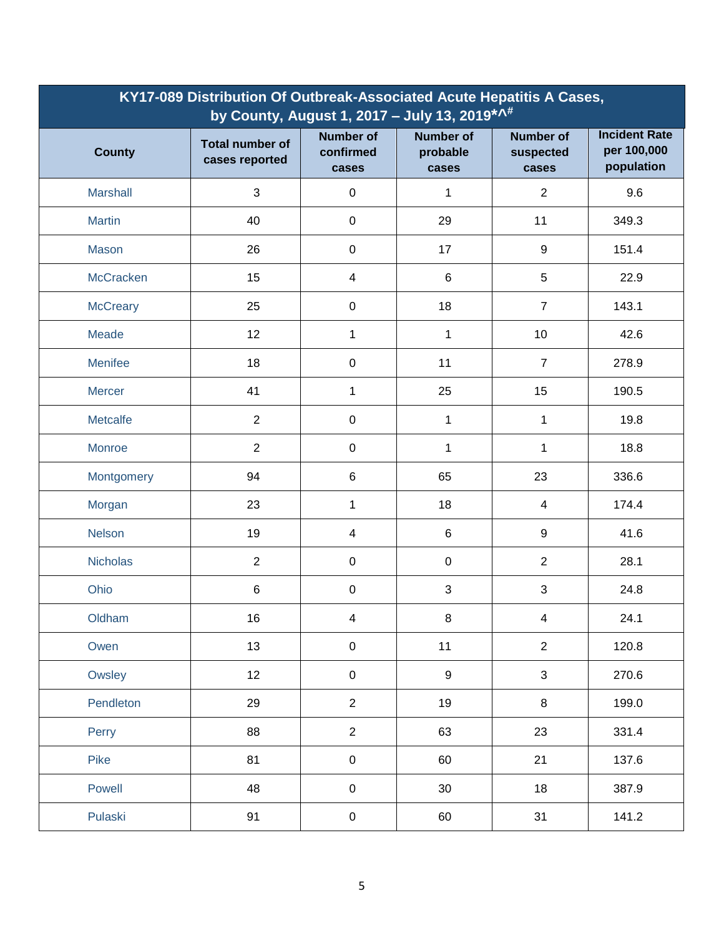| KY17-089 Distribution Of Outbreak-Associated Acute Hepatitis A Cases,<br>by County, August 1, 2017 - July 13, 2019 *** |                                          |                                        |                                       |                                        |                                                   |
|------------------------------------------------------------------------------------------------------------------------|------------------------------------------|----------------------------------------|---------------------------------------|----------------------------------------|---------------------------------------------------|
| <b>County</b>                                                                                                          | <b>Total number of</b><br>cases reported | <b>Number of</b><br>confirmed<br>cases | <b>Number of</b><br>probable<br>cases | <b>Number of</b><br>suspected<br>cases | <b>Incident Rate</b><br>per 100,000<br>population |
| <b>Marshall</b>                                                                                                        | 3                                        | $\pmb{0}$                              | 1                                     | $\overline{2}$                         | 9.6                                               |
| <b>Martin</b>                                                                                                          | 40                                       | $\pmb{0}$                              | 29                                    | 11                                     | 349.3                                             |
| Mason                                                                                                                  | 26                                       | $\boldsymbol{0}$                       | 17                                    | 9                                      | 151.4                                             |
| McCracken                                                                                                              | 15                                       | 4                                      | 6                                     | 5                                      | 22.9                                              |
| <b>McCreary</b>                                                                                                        | 25                                       | $\boldsymbol{0}$                       | 18                                    | $\overline{7}$                         | 143.1                                             |
| <b>Meade</b>                                                                                                           | 12                                       | 1                                      | 1                                     | 10                                     | 42.6                                              |
| <b>Menifee</b>                                                                                                         | 18                                       | $\boldsymbol{0}$                       | 11                                    | $\overline{7}$                         | 278.9                                             |
| <b>Mercer</b>                                                                                                          | 41                                       | 1                                      | 25                                    | 15                                     | 190.5                                             |
| Metcalfe                                                                                                               | $\overline{2}$                           | $\boldsymbol{0}$                       | $\mathbf{1}$                          | 1                                      | 19.8                                              |
| Monroe                                                                                                                 | $\overline{2}$                           | $\boldsymbol{0}$                       | 1                                     | 1                                      | 18.8                                              |
| Montgomery                                                                                                             | 94                                       | $\,6$                                  | 65                                    | 23                                     | 336.6                                             |
| Morgan                                                                                                                 | 23                                       | 1                                      | 18                                    | 4                                      | 174.4                                             |
| <b>Nelson</b>                                                                                                          | 19                                       | 4                                      | 6                                     | 9                                      | 41.6                                              |
| <b>Nicholas</b>                                                                                                        | $\overline{2}$                           | $\boldsymbol{0}$                       | $\mathsf 0$                           | $\overline{2}$                         | 28.1                                              |
| Ohio                                                                                                                   | $\,6\,$                                  | $\boldsymbol{0}$                       | 3                                     | 3                                      | 24.8                                              |
| Oldham                                                                                                                 | 16                                       | 4                                      | 8                                     | 4                                      | 24.1                                              |
| Owen                                                                                                                   | 13                                       | $\pmb{0}$                              | 11                                    | $\overline{2}$                         | 120.8                                             |
| Owsley                                                                                                                 | 12                                       | $\pmb{0}$                              | 9                                     | 3                                      | 270.6                                             |
| Pendleton                                                                                                              | 29                                       | $\overline{2}$                         | 19                                    | $\,8\,$                                | 199.0                                             |
| Perry                                                                                                                  | 88                                       | $\overline{2}$                         | 63                                    | 23                                     | 331.4                                             |
| Pike                                                                                                                   | 81                                       | $\pmb{0}$                              | 60                                    | 21                                     | 137.6                                             |
| Powell                                                                                                                 | 48                                       | $\pmb{0}$                              | 30                                    | 18                                     | 387.9                                             |
| Pulaski                                                                                                                | 91                                       | $\pmb{0}$                              | 60                                    | 31                                     | 141.2                                             |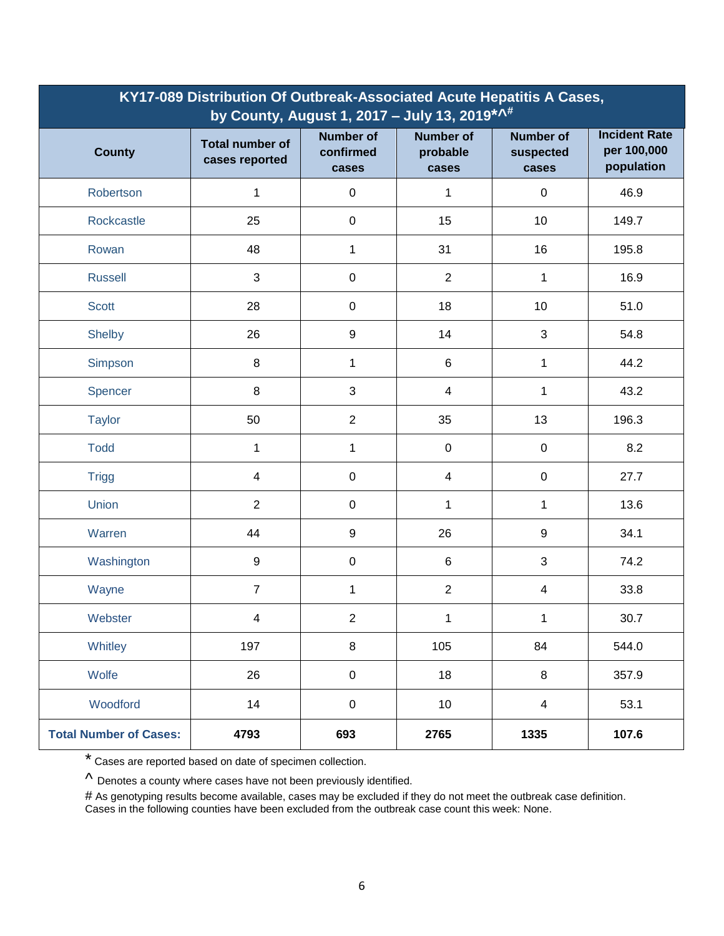| KY17-089 Distribution Of Outbreak-Associated Acute Hepatitis A Cases,<br>by County, August 1, 2017 - July 13, 2019 *** |                                          |                                        |                                       |                                        |                                                   |
|------------------------------------------------------------------------------------------------------------------------|------------------------------------------|----------------------------------------|---------------------------------------|----------------------------------------|---------------------------------------------------|
| <b>County</b>                                                                                                          | <b>Total number of</b><br>cases reported | <b>Number of</b><br>confirmed<br>cases | <b>Number of</b><br>probable<br>cases | <b>Number of</b><br>suspected<br>cases | <b>Incident Rate</b><br>per 100,000<br>population |
| Robertson                                                                                                              | 1                                        | $\pmb{0}$                              | 1                                     | 0                                      | 46.9                                              |
| Rockcastle                                                                                                             | 25                                       | $\pmb{0}$                              | 15                                    | 10                                     | 149.7                                             |
| Rowan                                                                                                                  | 48                                       | 1                                      | 31                                    | 16                                     | 195.8                                             |
| <b>Russell</b>                                                                                                         | 3                                        | $\boldsymbol{0}$                       | $\overline{2}$                        | 1                                      | 16.9                                              |
| <b>Scott</b>                                                                                                           | 28                                       | $\boldsymbol{0}$                       | 18                                    | 10                                     | 51.0                                              |
| Shelby                                                                                                                 | 26                                       | 9                                      | 14                                    | 3                                      | 54.8                                              |
| Simpson                                                                                                                | $\,8\,$                                  | 1                                      | 6                                     | 1                                      | 44.2                                              |
| Spencer                                                                                                                | $\,8\,$                                  | 3                                      | 4                                     | 1                                      | 43.2                                              |
| <b>Taylor</b>                                                                                                          | 50                                       | $\overline{2}$                         | 35                                    | 13                                     | 196.3                                             |
| <b>Todd</b>                                                                                                            | 1                                        | 1                                      | $\mathsf 0$                           | $\pmb{0}$                              | 8.2                                               |
| <b>Trigg</b>                                                                                                           | 4                                        | $\boldsymbol{0}$                       | 4                                     | $\pmb{0}$                              | 27.7                                              |
| Union                                                                                                                  | $\overline{2}$                           | $\pmb{0}$                              | $\mathbf{1}$                          | 1                                      | 13.6                                              |
| Warren                                                                                                                 | 44                                       | $\boldsymbol{9}$                       | 26                                    | 9                                      | 34.1                                              |
| Washington                                                                                                             | $\boldsymbol{9}$                         | $\boldsymbol{0}$                       | 6                                     | 3                                      | 74.2                                              |
| Wayne                                                                                                                  | $\overline{7}$                           | 1                                      | $\overline{2}$                        | 4                                      | 33.8                                              |
| Webster                                                                                                                | 4                                        | $\overline{2}$                         | 1                                     | 1                                      | 30.7                                              |
| Whitley                                                                                                                | 197                                      | 8                                      | 105                                   | 84                                     | 544.0                                             |
| Wolfe                                                                                                                  | 26                                       | $\pmb{0}$                              | 18                                    | 8                                      | 357.9                                             |
| Woodford                                                                                                               | 14                                       | $\pmb{0}$                              | 10 <sup>1</sup>                       | $\overline{4}$                         | 53.1                                              |
| <b>Total Number of Cases:</b>                                                                                          | 4793                                     | 693                                    | 2765                                  | 1335                                   | 107.6                                             |

\* Cases are reported based on date of specimen collection.

 $\Lambda$  Denotes a county where cases have not been previously identified.

# As genotyping results become available, cases may be excluded if they do not meet the outbreak case definition. Cases in the following counties have been excluded from the outbreak case count this week: None.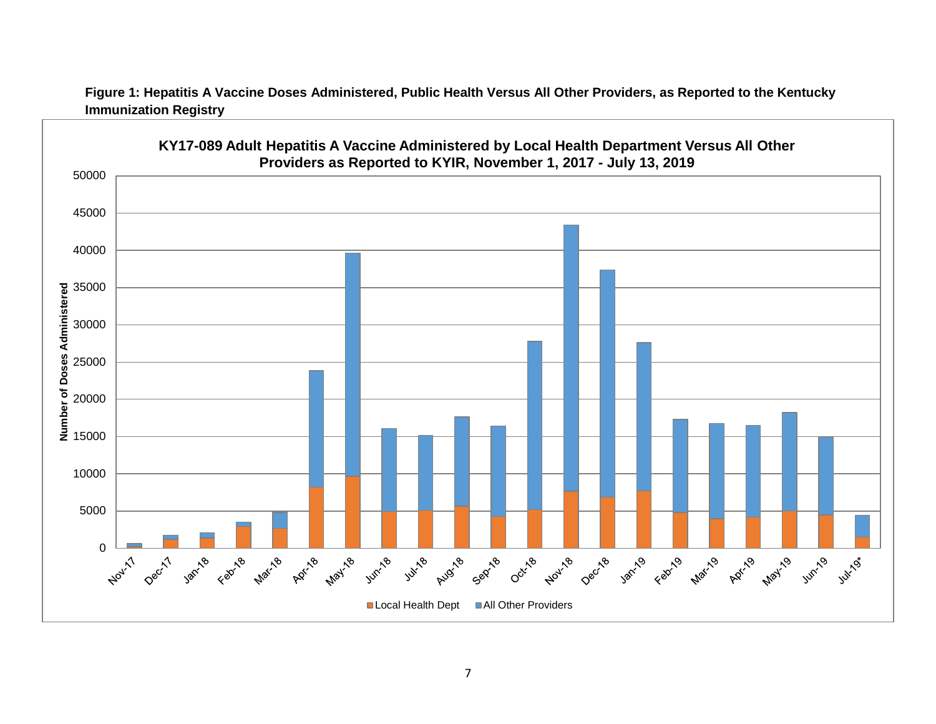

**Figure 1: Hepatitis A Vaccine Doses Administered, Public Health Versus All Other Providers, as Reported to the Kentucky Immunization Registry**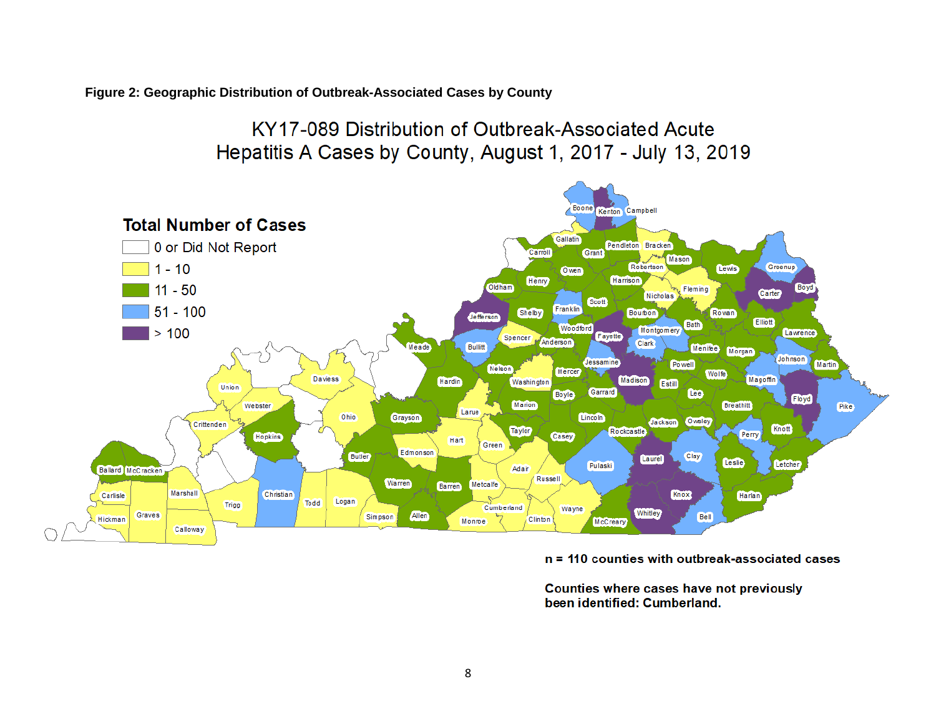**Figure 2: Geographic Distribution of Outbreak-Associated Cases by County**

# KY17-089 Distribution of Outbreak-Associated Acute Hepatitis A Cases by County, August 1, 2017 - July 13, 2019



 $n = 110$  counties with outbreak-associated cases

Counties where cases have not previously been identified: Cumberland.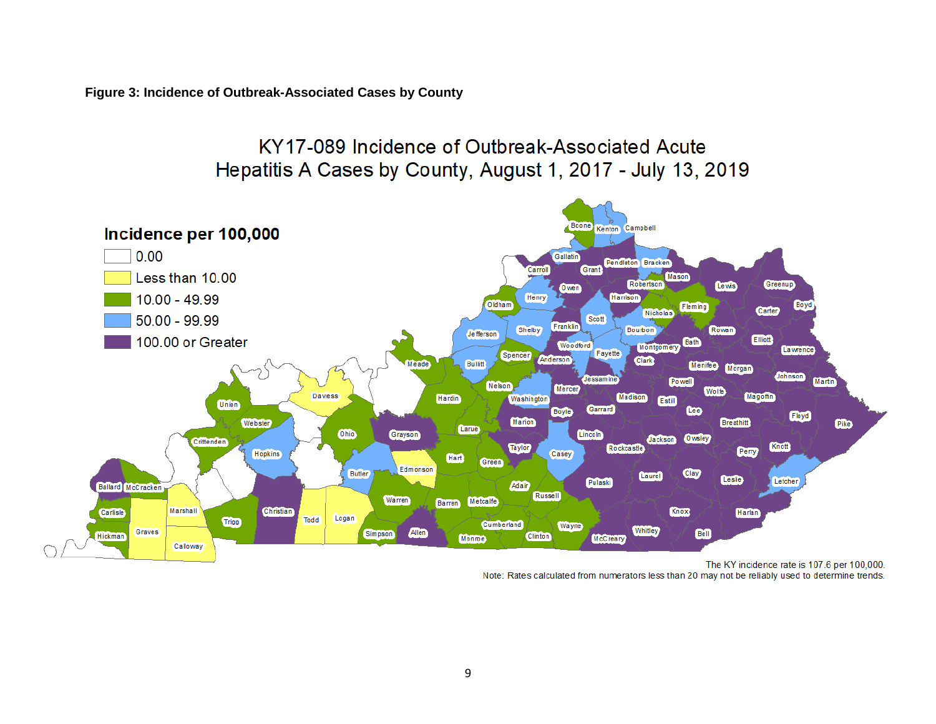**Figure 3: Incidence of Outbreak-Associated Cases by County**

## KY17-089 Incidence of Outbreak-Associated Acute Hepatitis A Cases by County, August 1, 2017 - July 13, 2019



The KY incidence rate is 107.6 per 100,000. Note: Rates calculated from numerators less than 20 may not be reliably used to determine trends.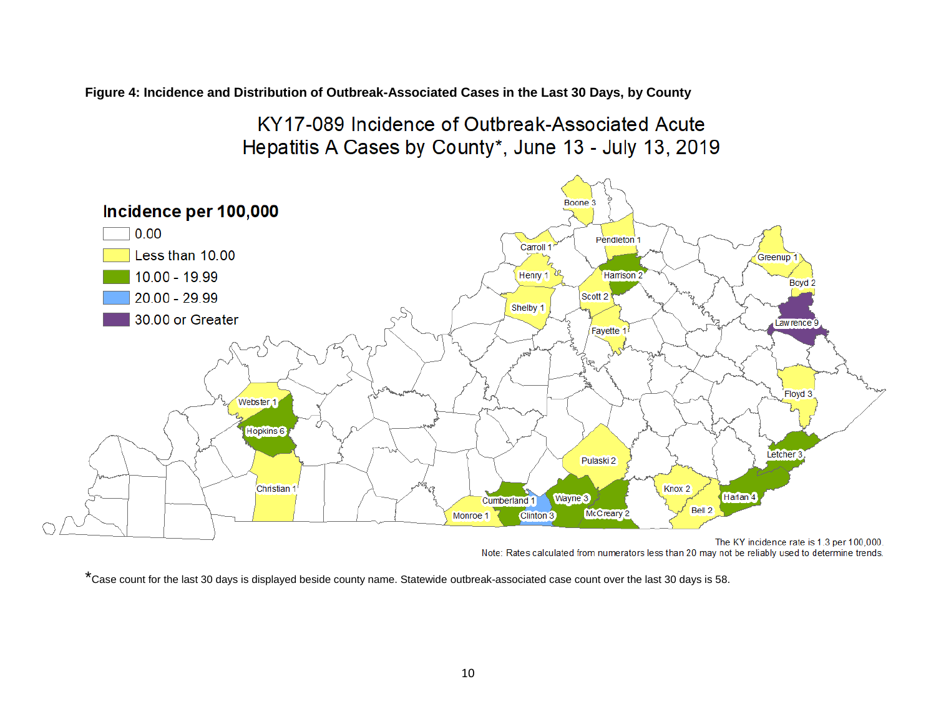**Figure 4: Incidence and Distribution of Outbreak-Associated Cases in the Last 30 Days, by County**

# KY17-089 Incidence of Outbreak-Associated Acute Hepatitis A Cases by County\*, June 13 - July 13, 2019



Note: Rates calculated from numerators less than 20 may not be reliably used to determine trends.

\*Case count for the last 30 days is displayed beside county name. Statewide outbreak-associated case count over the last 30 days is 58.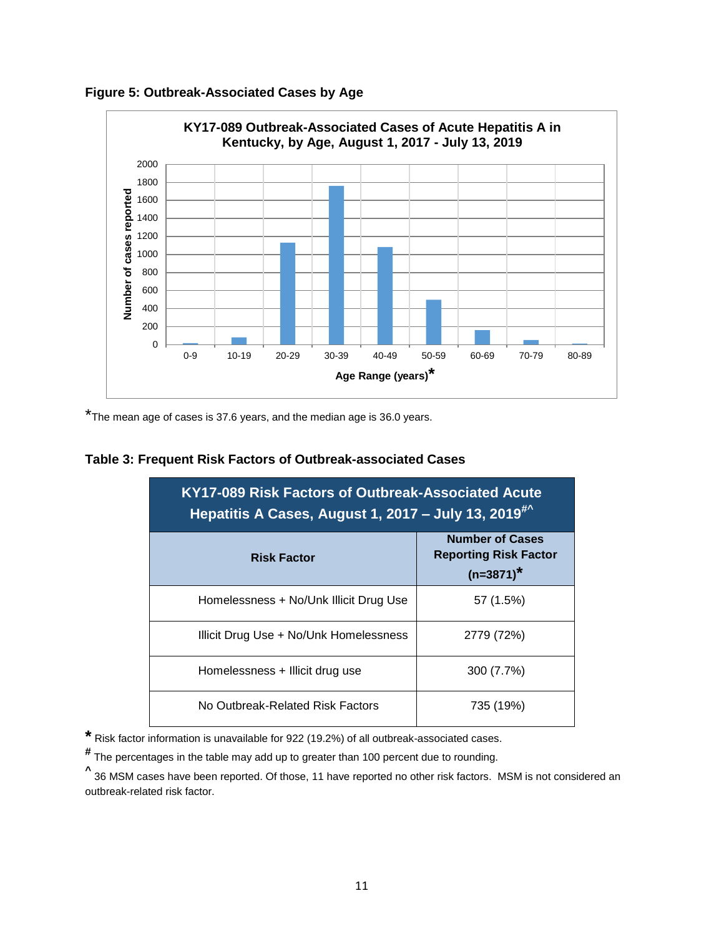



\*The mean age of cases is 37.6 years, and the median age is 36.0 years.

#### **Table 3: Frequent Risk Factors of Outbreak-associated Cases**

| KY17-089 Risk Factors of Outbreak-Associated Acute<br>Hepatitis A Cases, August 1, 2017 - July 13, 2019 <sup>#^</sup> |                                                                        |  |  |  |
|-----------------------------------------------------------------------------------------------------------------------|------------------------------------------------------------------------|--|--|--|
| <b>Risk Factor</b>                                                                                                    | <b>Number of Cases</b><br><b>Reporting Risk Factor</b><br>$(n=3871)^*$ |  |  |  |
| Homelessness + No/Unk Illicit Drug Use                                                                                | 57 (1.5%)                                                              |  |  |  |
| Illicit Drug Use + No/Unk Homelessness                                                                                | 2779 (72%)                                                             |  |  |  |
| Homelessness + Illicit drug use                                                                                       | 300 (7.7%)                                                             |  |  |  |
| No Outbreak-Related Risk Factors                                                                                      | 735 (19%)                                                              |  |  |  |

**\*** Risk factor information is unavailable for 922 (19.2%) of all outbreak-associated cases.

**#** The percentages in the table may add up to greater than 100 percent due to rounding.

**^** 36 MSM cases have been reported. Of those, 11 have reported no other risk factors. MSM is not considered an outbreak-related risk factor.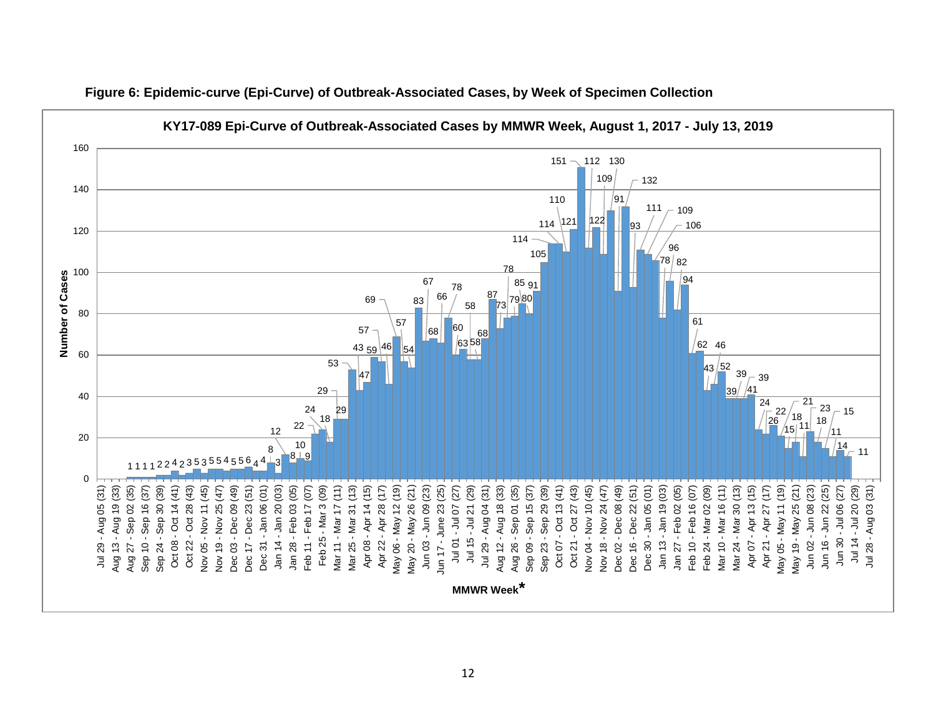

**Figure 6: Epidemic-curve (Epi-Curve) of Outbreak-Associated Cases, by Week of Specimen Collection**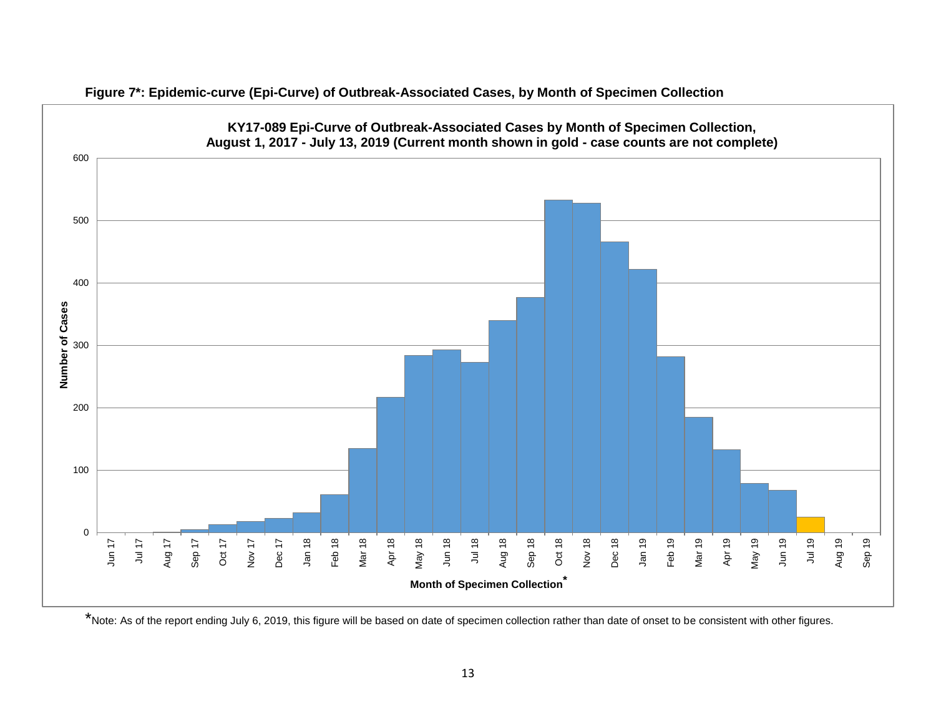

**Figure 7\*: Epidemic-curve (Epi-Curve) of Outbreak-Associated Cases, by Month of Specimen Collection**

\*Note: As of the report ending July 6, 2019, this figure will be based on date of specimen collection rather than date of onset to be consistent with other figures.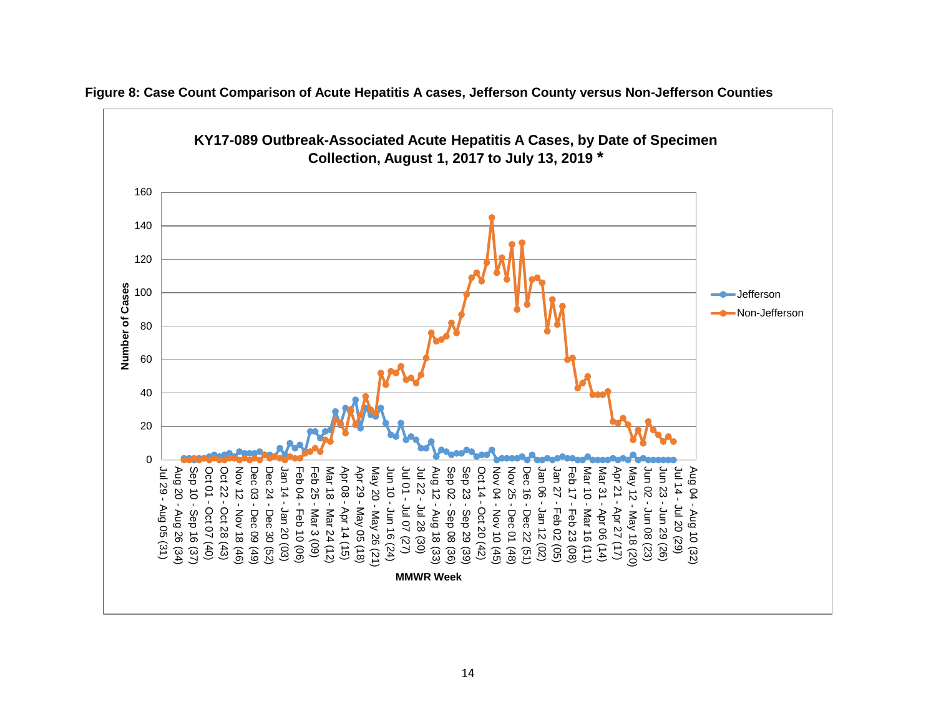

**Figure 8: Case Count Comparison of Acute Hepatitis A cases, Jefferson County versus Non-Jefferson Counties**